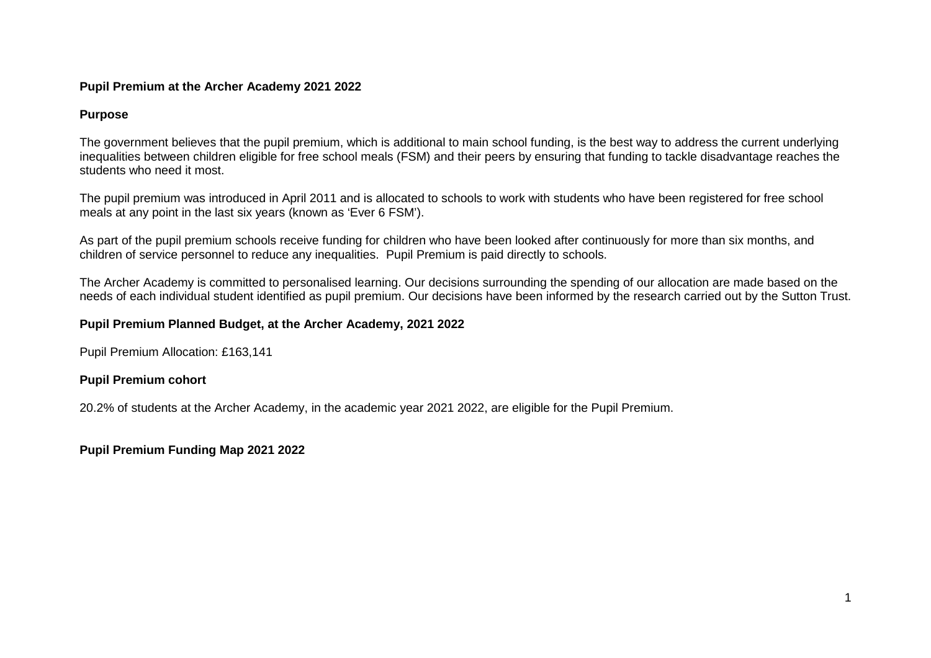### **Pupil Premium at the Archer Academy 2021 2022**

## **Purpose**

The government believes that the pupil premium, which is additional to main school funding, is the best way to address the current underlying inequalities between children eligible for free school meals (FSM) and their peers by ensuring that funding to tackle disadvantage reaches the students who need it most.

The pupil premium was introduced in April 2011 and is allocated to schools to work with students who have been registered for free school meals at any point in the last six years (known as 'Ever 6 FSM').

As part of the pupil premium schools receive funding for children who have been looked after continuously for more than six months, and children of service personnel to reduce any inequalities. Pupil Premium is paid directly to schools.

The Archer Academy is committed to personalised learning. Our decisions surrounding the spending of our allocation are made based on the needs of each individual student identified as pupil premium. Our decisions have been informed by the research carried out by the Sutton Trust.

## **Pupil Premium Planned Budget, at the Archer Academy, 2021 2022**

Pupil Premium Allocation: £163,141

# **Pupil Premium cohort**

20.2% of students at the Archer Academy, in the academic year 2021 2022, are eligible for the Pupil Premium.

# **Pupil Premium Funding Map 2021 2022**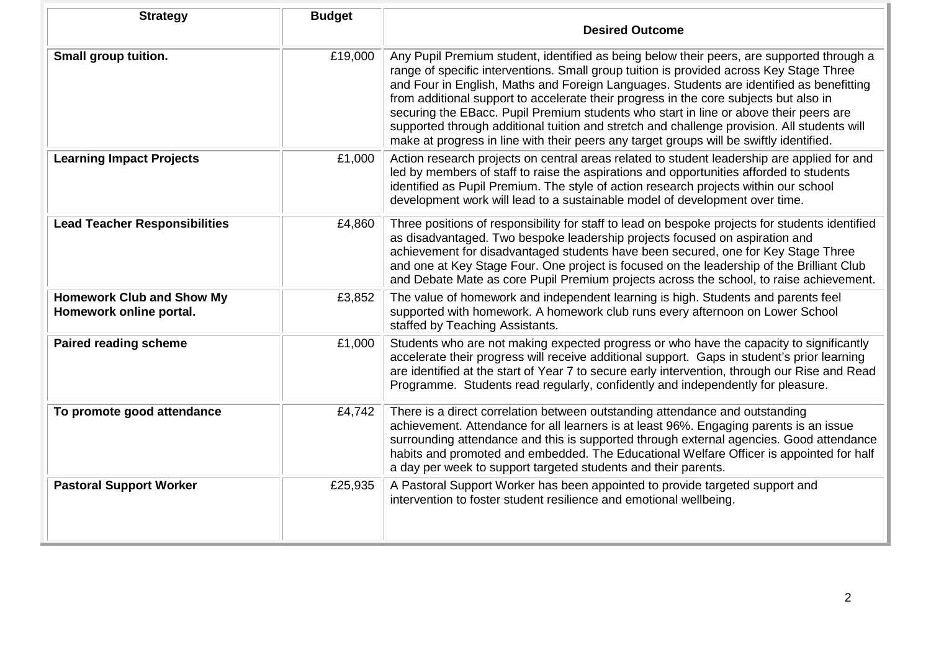| <b>Strategy</b>                                             | <b>Budget</b> | <b>Desired Outcome</b>                                                                                                                                                                                                                                                                                                                                                                                                                                                                                                                                                                                                                                       |
|-------------------------------------------------------------|---------------|--------------------------------------------------------------------------------------------------------------------------------------------------------------------------------------------------------------------------------------------------------------------------------------------------------------------------------------------------------------------------------------------------------------------------------------------------------------------------------------------------------------------------------------------------------------------------------------------------------------------------------------------------------------|
| Small group tuition.                                        | £19,000       | Any Pupil Premium student, identified as being below their peers, are supported through a<br>range of specific interventions. Small group tuition is provided across Key Stage Three<br>and Four in English, Maths and Foreign Languages. Students are identified as benefitting<br>from additional support to accelerate their progress in the core subjects but also in<br>securing the EBacc. Pupil Premium students who start in line or above their peers are<br>supported through additional tuition and stretch and challenge provision. All students will<br>make at progress in line with their peers any target groups will be swiftly identified. |
| <b>Learning Impact Projects</b>                             | £1,000        | Action research projects on central areas related to student leadership are applied for and<br>led by members of staff to raise the aspirations and opportunities afforded to students<br>identified as Pupil Premium. The style of action research projects within our school<br>development work will lead to a sustainable model of development over time.                                                                                                                                                                                                                                                                                                |
| <b>Lead Teacher Responsibilities</b>                        | £4,860        | Three positions of responsibility for staff to lead on bespoke projects for students identified<br>as disadvantaged. Two bespoke leadership projects focused on aspiration and<br>achievement for disadvantaged students have been secured, one for Key Stage Three<br>and one at Key Stage Four. One project is focused on the leadership of the Brilliant Club<br>and Debate Mate as core Pupil Premium projects across the school, to raise achievement.                                                                                                                                                                                                  |
| <b>Homework Club and Show My</b><br>Homework online portal. | £3,852        | The value of homework and independent learning is high. Students and parents feel<br>supported with homework. A homework club runs every afternoon on Lower School<br>staffed by Teaching Assistants.                                                                                                                                                                                                                                                                                                                                                                                                                                                        |
| <b>Paired reading scheme</b>                                | £1,000        | Students who are not making expected progress or who have the capacity to significantly<br>accelerate their progress will receive additional support. Gaps in student's prior learning<br>are identified at the start of Year 7 to secure early intervention, through our Rise and Read<br>Programme. Students read regularly, confidently and independently for pleasure.                                                                                                                                                                                                                                                                                   |
| To promote good attendance                                  | £4,742        | There is a direct correlation between outstanding attendance and outstanding<br>achievement. Attendance for all learners is at least 96%. Engaging parents is an issue<br>surrounding attendance and this is supported through external agencies. Good attendance<br>habits and promoted and embedded. The Educational Welfare Officer is appointed for half<br>a day per week to support targeted students and their parents.                                                                                                                                                                                                                               |
| <b>Pastoral Support Worker</b>                              | £25,935       | A Pastoral Support Worker has been appointed to provide targeted support and<br>intervention to foster student resilience and emotional wellbeing.                                                                                                                                                                                                                                                                                                                                                                                                                                                                                                           |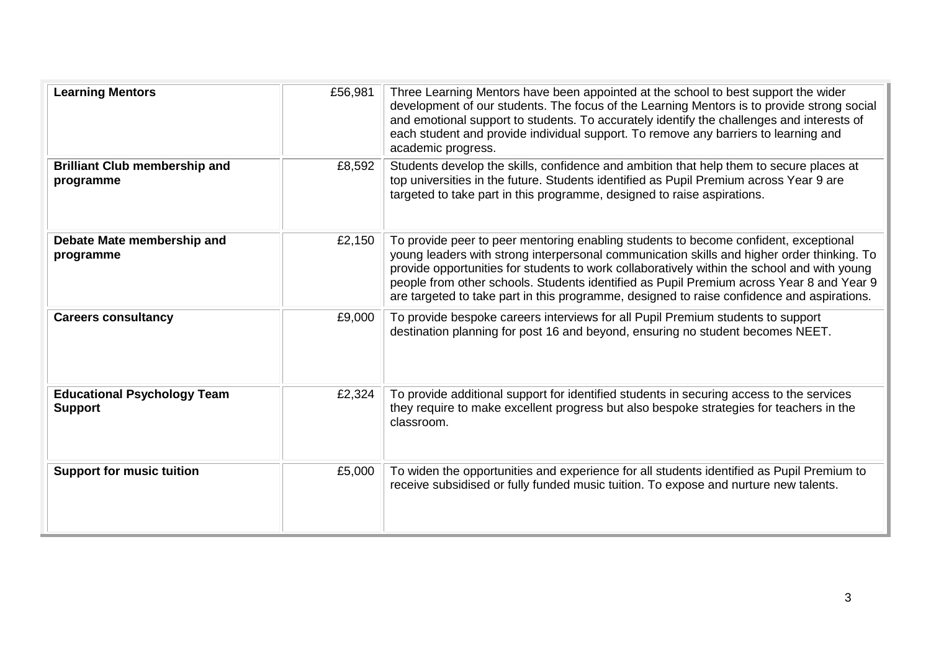| <b>Learning Mentors</b>                              | £56,981 | Three Learning Mentors have been appointed at the school to best support the wider<br>development of our students. The focus of the Learning Mentors is to provide strong social<br>and emotional support to students. To accurately identify the challenges and interests of<br>each student and provide individual support. To remove any barriers to learning and<br>academic progress.                                                                                  |
|------------------------------------------------------|---------|-----------------------------------------------------------------------------------------------------------------------------------------------------------------------------------------------------------------------------------------------------------------------------------------------------------------------------------------------------------------------------------------------------------------------------------------------------------------------------|
| <b>Brilliant Club membership and</b><br>programme    | £8,592  | Students develop the skills, confidence and ambition that help them to secure places at<br>top universities in the future. Students identified as Pupil Premium across Year 9 are<br>targeted to take part in this programme, designed to raise aspirations.                                                                                                                                                                                                                |
| Debate Mate membership and<br>programme              | £2,150  | To provide peer to peer mentoring enabling students to become confident, exceptional<br>young leaders with strong interpersonal communication skills and higher order thinking. To<br>provide opportunities for students to work collaboratively within the school and with young<br>people from other schools. Students identified as Pupil Premium across Year 8 and Year 9<br>are targeted to take part in this programme, designed to raise confidence and aspirations. |
| <b>Careers consultancy</b>                           | £9,000  | To provide bespoke careers interviews for all Pupil Premium students to support<br>destination planning for post 16 and beyond, ensuring no student becomes NEET.                                                                                                                                                                                                                                                                                                           |
| <b>Educational Psychology Team</b><br><b>Support</b> | £2,324  | To provide additional support for identified students in securing access to the services<br>they require to make excellent progress but also bespoke strategies for teachers in the<br>classroom.                                                                                                                                                                                                                                                                           |
| <b>Support for music tuition</b>                     | £5,000  | To widen the opportunities and experience for all students identified as Pupil Premium to<br>receive subsidised or fully funded music tuition. To expose and nurture new talents.                                                                                                                                                                                                                                                                                           |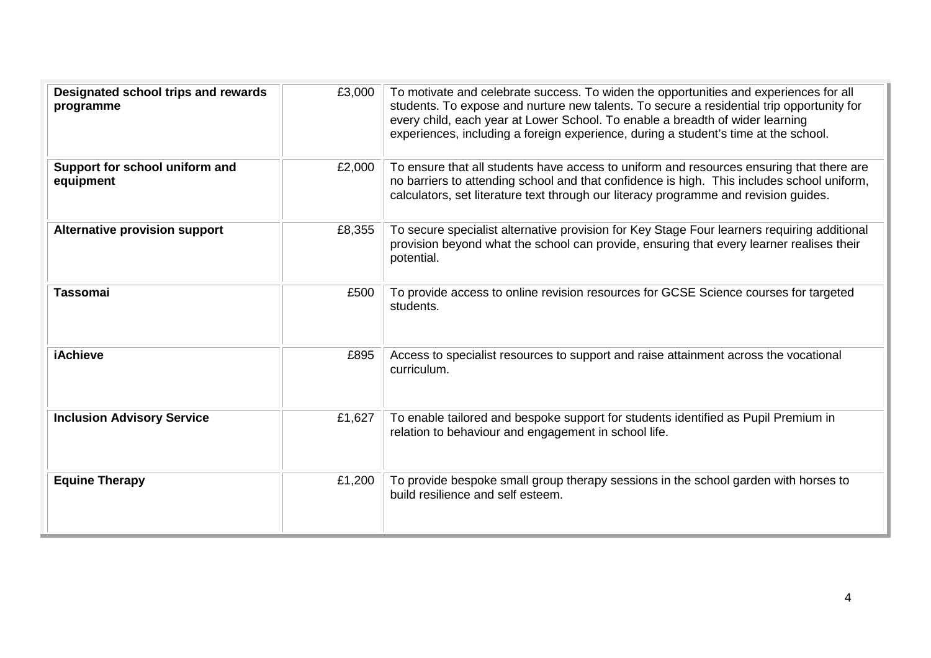| Designated school trips and rewards<br>programme | £3,000 | To motivate and celebrate success. To widen the opportunities and experiences for all<br>students. To expose and nurture new talents. To secure a residential trip opportunity for<br>every child, each year at Lower School. To enable a breadth of wider learning<br>experiences, including a foreign experience, during a student's time at the school. |
|--------------------------------------------------|--------|------------------------------------------------------------------------------------------------------------------------------------------------------------------------------------------------------------------------------------------------------------------------------------------------------------------------------------------------------------|
| Support for school uniform and<br>equipment      | £2,000 | To ensure that all students have access to uniform and resources ensuring that there are<br>no barriers to attending school and that confidence is high. This includes school uniform,<br>calculators, set literature text through our literacy programme and revision guides.                                                                             |
| <b>Alternative provision support</b>             | £8,355 | To secure specialist alternative provision for Key Stage Four learners requiring additional<br>provision beyond what the school can provide, ensuring that every learner realises their<br>potential.                                                                                                                                                      |
| <b>Tassomai</b>                                  | £500   | To provide access to online revision resources for GCSE Science courses for targeted<br>students.                                                                                                                                                                                                                                                          |
| <b>iAchieve</b>                                  | £895   | Access to specialist resources to support and raise attainment across the vocational<br>curriculum.                                                                                                                                                                                                                                                        |
| <b>Inclusion Advisory Service</b>                | £1,627 | To enable tailored and bespoke support for students identified as Pupil Premium in<br>relation to behaviour and engagement in school life.                                                                                                                                                                                                                 |
| <b>Equine Therapy</b>                            | £1,200 | To provide bespoke small group therapy sessions in the school garden with horses to<br>build resilience and self esteem.                                                                                                                                                                                                                                   |